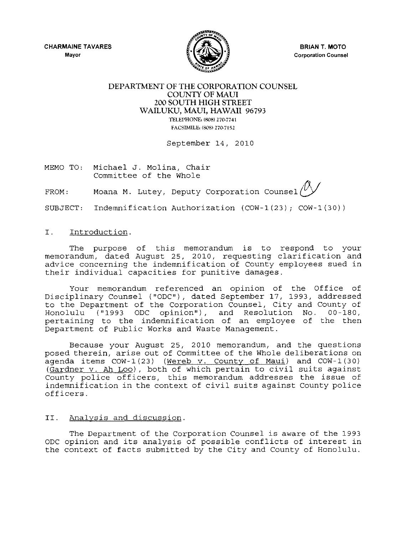**CHARMAINE TAVARES Mayor** 



**BRIAN T. MOTO Corporation Counsel** 

## **DEPARTMENT OF THE CORPORATION COUNSEL COUNTY OF MAUl 200 SOUTH HIGH STREET WAILUKU, MAUl, HAWAII** 96793 TELEPHONE, (808) 270-7741 FACSIMILE. (808) 270-7152

September 14, 2010

MEMO TO: Michael J. Molina, Chair Committee of the Whole

FROM: Moana M. Lutey, Deputy Corporation counsel~

SUBJECT: Indemnification Authorization (COW-1(23); COW-1(30))

## I. Introduction.

The purpose of this memorandum is to respond to your memorandum, dated August 25, 2010, requesting clarification and advice concerning the indemnification of County employees sued in their individual capacities for punitive damages.

Your memorandum referenced an opinion of the Office of Disciplinary Counsel ("ODC"), dated September 17, 1993, addressed to the Department of the Corporation Counsel, City and County of Honolulu ("1993 ODC opinion"), and Resolution No. 00-180, pertaining to the indemnification of an employee of the then Department of Public Works and Waste Management.

Because your August 25, 2010 memorandum, and the questions posed therein, arise out of Committee of the Whole deliberations on agenda items COW-1(23) (Wereb v. County of Maui) and COW-1(30) (Gardner v. Ah Loo), both of which pertain to civil suits against County police officers, this memorandum addresses the issue of indemnification in the context of civil suits against County police officers.

## II. Analysis and discussion.

The Department of the Corporation Counsel is aware of the 1993 ODC opinion and its analysis of possible conflicts of interest in the context of facts submitted by the City and County of Honolulu.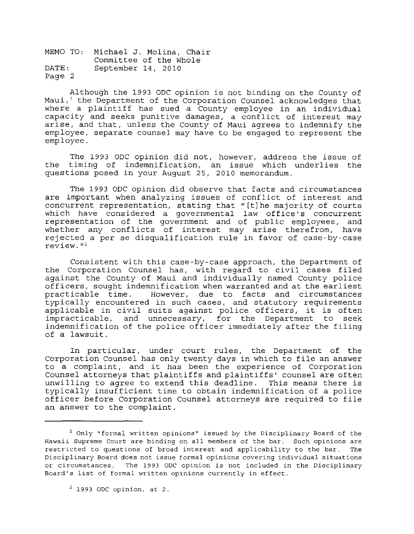MEMO TO: Michael J. Molina, Chair DATE: Page 2 Committee of the Whole September 14, 2010

Although the 1993 ODC opinion is not binding on the County of Maui,' the Department of the Corporation Counsel acknowledges that where a plaintiff has sued a County employee in an individual capacity and seeks punitive damages, a conflict of interest may arise, and that, unless the County of Maui agrees to indemnify the employee, separate counsel may have to be engaged to represent the employee.

The 1993 ODC opinion did not, however, address the issue of the timing of indemnification, an issue which underlies the questions posed in your August 25, 2010 memorandum.

The 1993 ODC opinion did observe that facts and circumstances are important when analyzing issues of conflict of interest and concurrent representation, stating that" [tlhe majority of courts which have considered a governmental law office's concurrent representation of the government and of public employees, and whether any conflicts of interest may arise therefrom, have rejected a per se disqualification rule in favor of case-by-case  $review.$  $112$ 

Consistent with this case-by-case approach, the Department of the Corporation Counsel has, with regard to civil cases filed against the County of Maui and individually named County police officers, sought indemnification when warranted and at the earliest practicable time. However, due to facts and circumstances typically encountered in such cases, and statutory requirements applicable in civil suits against police officers, it is often impracticable, and unnecessary, for the Department to seek indemnification of the police officer immediately after the filing of a lawsuit.

In particular, under court rules, the Department of the Corporation Counsel has only twenty days in which to file an answer to a complaint, and it has been the experience of Corporation Counsel attorneys that plaintiffs and plaintiffs' counsel are often unwilling to agree to extend this deadline. This means there is typically insufficient time to obtain indemnification of a police officer before Corporation Counsel attorneys are required to file an answer to the complaint.

<sup>&</sup>lt;sup>1</sup> Only "formal written opinions" issued by the Disciplinary Board of the **Hawaii Supreme Court are binding on all members of the bar. Such opinions are restricted to questions of broad interest and applicability to the bar. The Disciplinary Board does not issue formal opinions covering individual situations or circumstances. The 1993 ODC opinion is not included in the Disciplinary Board!s list of formal written opinions currently in effect.** 

<sup>2</sup> **1993 ODe opinion, at 2.**